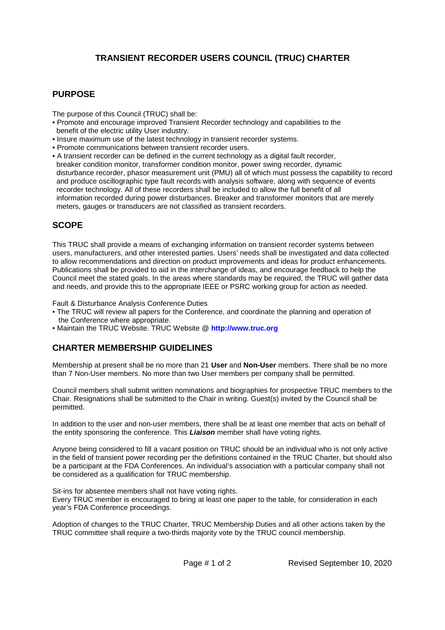# **TRANSIENT RECORDER USERS COUNCIL (TRUC) CHARTER**

### **PURPOSE**

The purpose of this Council (TRUC) shall be:

- Promote and encourage improved Transient Recorder technology and capabilities to the benefit of the electric utility User industry.
- Insure maximum use of the latest technology in transient recorder systems.
- Promote communications between transient recorder users.
- A transient recorder can be defined in the current technology as a digital fault recorder, breaker condition monitor, transformer condition monitor, power swing recorder, dynamic disturbance recorder, phasor measurement unit (PMU) all of which must possess the capability to record and produce oscillographic type fault records with analysis software, along with sequence of events recorder technology. All of these recorders shall be included to allow the full benefit of all information recorded during power disturbances. Breaker and transformer monitors that are merely meters, gauges or transducers are not classified as transient recorders.

#### **SCOPE**

This TRUC shall provide a means of exchanging information on transient recorder systems between users, manufacturers, and other interested parties. Users' needs shall be investigated and data collected to allow recommendations and direction on product improvements and ideas for product enhancements. Publications shall be provided to aid in the interchange of ideas, and encourage feedback to help the Council meet the stated goals. In the areas where standards may be required, the TRUC will gather data and needs, and provide this to the appropriate IEEE or PSRC working group for action as needed.

Fault & Disturbance Analysis Conference Duties

- The TRUC will review all papers for the Conference, and coordinate the planning and operation of the Conference where appropriate.
- Maintain the TRUC Website. TRUC Website @ **http://www.truc.org**

#### **CHARTER MEMBERSHIP GUIDELINES**

Membership at present shall be no more than 21 **User** and **Non-User** members. There shall be no more than 7 Non-User members. No more than two User members per company shall be permitted.

Council members shall submit written nominations and biographies for prospective TRUC members to the Chair. Resignations shall be submitted to the Chair in writing. Guest(s) invited by the Council shall be permitted.

In addition to the user and non-user members, there shall be at least one member that acts on behalf of the entity sponsoring the conference. This *Liaison* member shall have voting rights.

Anyone being considered to fill a vacant position on TRUC should be an individual who is not only active in the field of transient power recording per the definitions contained in the TRUC Charter, but should also be a participant at the FDA Conferences. An individual's association with a particular company shall not be considered as a qualification for TRUC membership.

Sit-ins for absentee members shall not have voting rights.

Every TRUC member is encouraged to bring at least one paper to the table, for consideration in each year's FDA Conference proceedings.

Adoption of changes to the TRUC Charter, TRUC Membership Duties and all other actions taken by the TRUC committee shall require a two-thirds majority vote by the TRUC council membership.